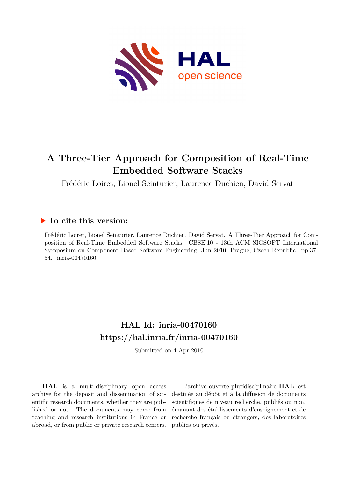

# **A Three-Tier Approach for Composition of Real-Time Embedded Software Stacks**

Frédéric Loiret, Lionel Seinturier, Laurence Duchien, David Servat

## **To cite this version:**

Frédéric Loiret, Lionel Seinturier, Laurence Duchien, David Servat. A Three-Tier Approach for Composition of Real-Time Embedded Software Stacks. CBSE'10 - 13th ACM SIGSOFT International Symposium on Component Based Software Engineering, Jun 2010, Prague, Czech Republic. pp.37- 54. inria-00470160

# **HAL Id: inria-00470160 <https://hal.inria.fr/inria-00470160>**

Submitted on 4 Apr 2010

**HAL** is a multi-disciplinary open access archive for the deposit and dissemination of scientific research documents, whether they are published or not. The documents may come from teaching and research institutions in France or abroad, or from public or private research centers.

L'archive ouverte pluridisciplinaire **HAL**, est destinée au dépôt et à la diffusion de documents scientifiques de niveau recherche, publiés ou non, émanant des établissements d'enseignement et de recherche français ou étrangers, des laboratoires publics ou privés.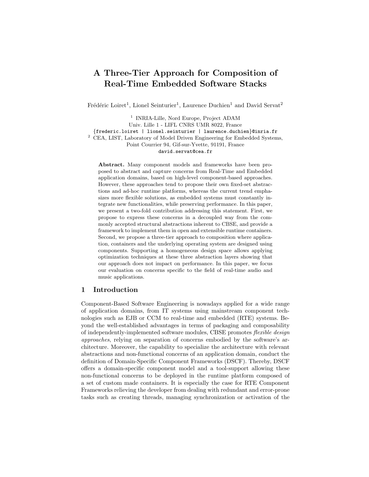## A Three-Tier Approach for Composition of Real-Time Embedded Software Stacks

Frédéric Loiret<sup>1</sup>, Lionel Seinturier<sup>1</sup>, Laurence Duchien<sup>1</sup> and David Servat<sup>2</sup>

1 INRIA-Lille, Nord Europe, Project ADAM Univ. Lille 1 - LIFL CNRS UMR 8022, France {frederic.loiret | lionel.seinturier | laurence.duchien}@inria.fr <sup>2</sup> CEA, LIST, Laboratory of Model Driven Engineering for Embedded Systems, Point Courrier 94, Gif-sur-Yvette, 91191, France david.servat@cea.fr

Abstract. Many component models and frameworks have been proposed to abstract and capture concerns from Real-Time and Embedded application domains, based on high-level component-based approaches. However, these approaches tend to propose their own fixed-set abstractions and ad-hoc runtime platforms, whereas the current trend emphasizes more flexible solutions, as embedded systems must constantly integrate new functionalities, while preserving performance. In this paper, we present a two-fold contribution addressing this statement. First, we propose to express these concerns in a decoupled way from the commonly accepted structural abstractions inherent to CBSE, and provide a framework to implement them in open and extensible runtime containers. Second, we propose a three-tier approach to composition where application, containers and the underlying operating system are designed using components. Supporting a homogeneous design space allows applying optimization techniques at these three abstraction layers showing that our approach does not impact on performance. In this paper, we focus our evaluation on concerns specific to the field of real-time audio and music applications.

## 1 Introduction

Component-Based Software Engineering is nowadays applied for a wide range of application domains, from IT systems using mainstream component technologies such as EJB or CCM to real-time and embedded (RTE) systems. Beyond the well-established advantages in terms of packaging and composability of independently-implemented software modules, CBSE promotes flexible design approaches, relying on separation of concerns embodied by the software's architecture. Moreover, the capability to specialize the architecture with relevant abstractions and non-functional concerns of an application domain, conduct the definition of Domain-Specific Component Frameworks (DSCF). Thereby, DSCF offers a domain-specific component model and a tool-support allowing these non-functional concerns to be deployed in the runtime platform composed of a set of custom made containers. It is especially the case for RTE Component Frameworks relieving the developer from dealing with redundant and error-prone tasks such as creating threads, managing synchronization or activation of the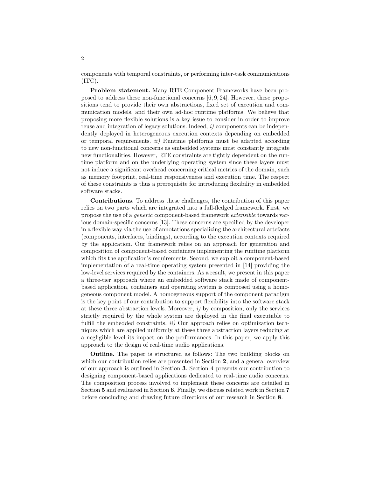components with temporal constraints, or performing inter-task communications  $(TTC)$ .

Problem statement. Many RTE Component Frameworks have been proposed to address these non-functional concerns [6, 9, 24]. However, these propositions tend to provide their own abstractions, fixed set of execution and communication models, and their own ad-hoc runtime platforms. We believe that proposing more flexible solutions is a key issue to consider in order to improve reuse and integration of legacy solutions. Indeed,  $i$ ) components can be independently deployed in heterogeneous execution contexts depending on embedded or temporal requirements.  $ii)$  Runtime platforms must be adapted according to new non-functional concerns as embedded systems must constantly integrate new functionalities. However, RTE constraints are tightly dependent on the runtime platform and on the underlying operating system since these layers must not induce a significant overhead concerning critical metrics of the domain, such as memory footprint, real-time responsiveness and execution time. The respect of these constraints is thus a prerequisite for introducing flexibility in embedded software stacks.

Contributions. To address these challenges, the contribution of this paper relies on two parts which are integrated into a full-fledged framework. First, we propose the use of a generic component-based framework extensible towards various domain-specific concerns [13]. These concerns are specified by the developer in a flexible way via the use of annotations specializing the architectural artefacts (components, interfaces, bindings), according to the execution contexts required by the application. Our framework relies on an approach for generation and composition of component-based containers implementing the runtime platform which fits the application's requirements. Second, we exploit a component-based implementation of a real-time operating system presented in [14] providing the low-level services required by the containers. As a result, we present in this paper a three-tier approach where an embedded software stack made of componentbased application, containers and operating system is composed using a homogeneous component model. A homogeneous support of the component paradigm is the key point of our contribution to support flexibility into the software stack at these three abstraction levels. Moreover,  $i$  by composition, only the services strictly required by the whole system are deployed in the final executable to fulfill the embedded constraints.  $ii)$  Our approach relies on optimization techniques which are applied uniformly at these three abstraction layers reducing at a negligible level its impact on the performances. In this paper, we apply this approach to the design of real-time audio applications.

Outline. The paper is structured as follows: The two building blocks on which our contribution relies are presented in Section 2, and a general overview of our approach is outlined in Section 3. Section 4 presents our contribution to designing component-based applications dedicated to real-time audio concerns. The composition process involved to implement these concerns are detailed in Section 5 and evaluated in Section 6. Finally, we discuss related work in Section 7 before concluding and drawing future directions of our research in Section 8.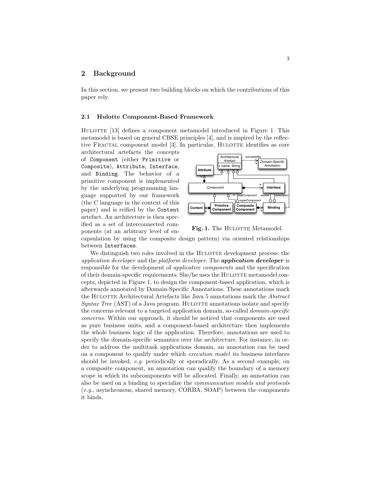### 2 Background

In this section, we present two building blocks on which the contributions of this paper rely.

#### 2.1 Hulotte Component-Based Framework

HULOTTE [13] defines a component metamodel introduced in Figure 1. This metamodel is based on general CBSE principles [4], and is inspired by the reflective FRACTAL component model [3]. In particular, HULOTTE identifies as core

architectural artefacts the concepts of Component (either Primitive or Composite), Attribute, Interface, and Binding. The behavior of a primitive component is implemented by the underlying programming language supported by our framework (the C language in the context of this paper) and is reified by the Content artefact. An architecture is then specified as a set of interconnected components (at an arbitrary level of en-





capsulation by using the composite design pattern) via oriented relationships between Interfaces.

We distinguish two roles involved in the HULOTTE development process: the application developer and the platform developer. The **application developer** is responsible for the development of applicative components and the specification of their domain-specific requirements. She/he uses the HULOTTE metamodel concepts, depicted in Figure 1, to design the component-based application, which is afterwards annotated by Domain-Specific Annotations. These annotations mark the HULOTTE Architectural Artefacts like Java 5 annotations mark the Abstract  $Syntax Tree (AST) of a Java program. HULOTTE annotations isolate and specify$ the concerns relevant to a targeted application domain, so-called domain-specific concerns. Within our approach, it should be noticed that components are used as pure business units, and a component-based architecture then implements the whole business logic of the application. Therefore, annotations are used to specify the domain-specific semantics over the architecture. For instance, in order to address the multitask applications domain, an annotation can be used on a component to qualify under which execution model its business interfaces should be invoked, e.g. periodically or sporadically. As a second example, on a composite component, an annotation can qualify the boundary of a memory scope in which its subcomponents will be allocated. Finally, an annotation can also be used on a binding to specialize the communication models and protocols (e.g., asynchronous, shared memory, CORBA, SOAP) between the components it binds.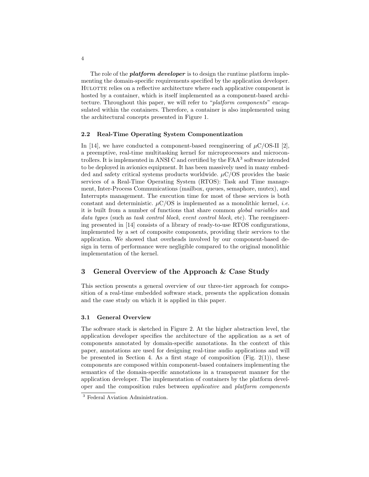The role of the *platform developer* is to design the runtime platform implementing the domain-specific requirements specified by the application developer. HULOTTE relies on a reflective architecture where each applicative component is hosted by a container, which is itself implemented as a component-based architecture. Throughout this paper, we will refer to "*platform components*" encapsulated within the containers. Therefore, a container is also implemented using the architectural concepts presented in Figure 1.

#### 2.2 Real-Time Operating System Componentization

In [14], we have conducted a component-based reengineering of  $\mu$ C/OS-II [2], a preemptive, real-time multitasking kernel for microprocessors and microcontrollers. It is implemented in ANSI C and certified by the FAA<sup>3</sup> software intended to be deployed in avionics equipment. It has been massively used in many embedded and safety critical systems products worldwide.  $\mu$ C/OS provides the basic services of a Real-Time Operating System (RTOS): Task and Time management, Inter-Process Communications (mailbox, queues, semaphore, mutex), and Interrupts management. The execution time for most of these services is both constant and deterministic.  $\mu$ C/OS is implemented as a monolithic kernel, *i.e.* it is built from a number of functions that share common global variables and data types (such as task control block, event control block, etc). The reengineering presented in [14] consists of a library of ready-to-use RTOS configurations, implemented by a set of composite components, providing their services to the application. We showed that overheads involved by our component-based design in term of performance were negligible compared to the original monolithic implementation of the kernel.

## 3 General Overview of the Approach & Case Study

This section presents a general overview of our three-tier approach for composition of a real-time embedded software stack, presents the application domain and the case study on which it is applied in this paper.

#### 3.1 General Overview

The software stack is sketched in Figure 2. At the higher abstraction level, the application developer specifies the architecture of the application as a set of components annotated by domain-specific annotations. In the context of this paper, annotations are used for designing real-time audio applications and will be presented in Section 4. As a first stage of composition (Fig. 2(1)), these components are composed within component-based containers implementing the semantics of the domain-specific annotations in a transparent manner for the application developer. The implementation of containers by the platform developer and the composition rules between applicative and platform components

<sup>3</sup> Federal Aviation Administration.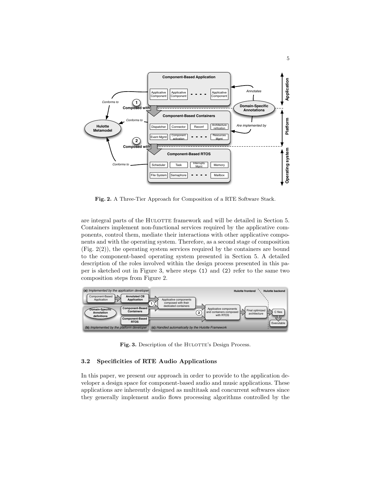

Fig. 2. A Three-Tier Approach for Composition of a RTE Software Stack.

are integral parts of the HULOTTE framework and will be detailed in Section 5. Containers implement non-functional services required by the applicative components, control them, mediate their interactions with other applicative components and with the operating system. Therefore, as a second stage of composition (Fig. 2(2)), the operating system services required by the containers are bound to the component-based operating system presented in Section 5. A detailed description of the roles involved within the design process presented in this paper is sketched out in Figure 3, where steps (1) and (2) refer to the same two composition steps from Figure 2.



Fig. 3. Description of the HULOTTE's Design Process.

## 3.2 Specificities of RTE Audio Applications

In this paper, we present our approach in order to provide to the application developer a design space for component-based audio and music applications. These applications are inherently designed as multitask and concurrent softwares since they generally implement audio flows processing algorithms controlled by the

5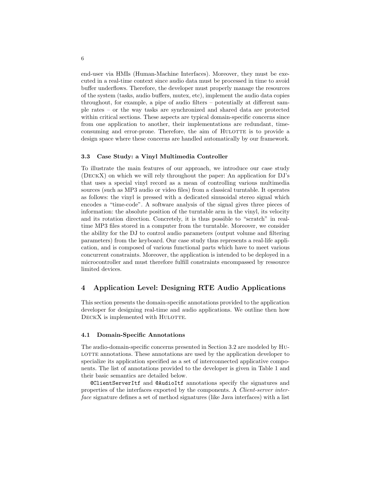end-user via HMIs (Human-Machine Interfaces). Moreover, they must be executed in a real-time context since audio data must be processed in time to avoid buffer underflows. Therefore, the developer must properly manage the resources of the system (tasks, audio buffers, mutex, etc), implement the audio data copies throughout, for example, a pipe of audio filters – potentially at different sample rates – or the way tasks are synchronized and shared data are protected within critical sections. These aspects are typical domain-specific concerns since from one application to another, their implementations are redundant, timeconsuming and error-prone. Therefore, the aim of HULOTTE is to provide a design space where these concerns are handled automatically by our framework.

#### 3.3 Case Study: a Vinyl Multimedia Controller

To illustrate the main features of our approach, we introduce our case study (DeckX) on which we will rely throughout the paper: An application for DJ's that uses a special vinyl record as a mean of controlling various multimedia sources (such as MP3 audio or video files) from a classical turntable. It operates as follows: the vinyl is pressed with a dedicated sinusoidal stereo signal which encodes a "time-code". A software analysis of the signal gives three pieces of information: the absolute position of the turntable arm in the vinyl, its velocity and its rotation direction. Concretely, it is thus possible to "scratch" in realtime MP3 files stored in a computer from the turntable. Moreover, we consider the ability for the DJ to control audio parameters (output volume and filtering parameters) from the keyboard. Our case study thus represents a real-life application, and is composed of various functional parts which have to meet various concurrent constraints. Moreover, the application is intended to be deployed in a microcontroller and must therefore fulfill constraints encompassed by ressource limited devices.

## 4 Application Level: Designing RTE Audio Applications

This section presents the domain-specific annotations provided to the application developer for designing real-time and audio applications. We outline then how DECKX is implemented with HULOTTE.

#### 4.1 Domain-Specific Annotations

The audio-domain-specific concerns presented in Section 3.2 are modeled by Hu-LOTTE annotations. These annotations are used by the application developer to specialize its application specified as a set of interconnected applicative components. The list of annotations provided to the developer is given in Table 1 and their basic semantics are detailed below.

@ClientServerItf and @AudioItf annotations specify the signatures and properties of the interfaces exported by the components. A Client-server interface signature defines a set of method signatures (like Java interfaces) with a list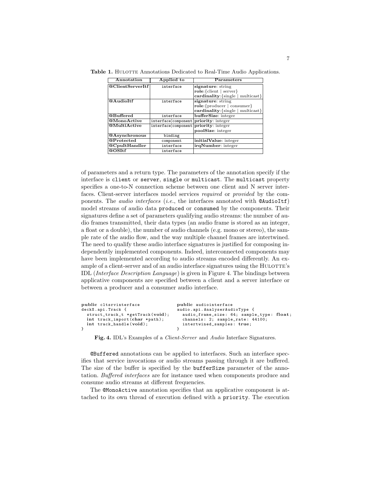| Annotation           | Applied to          | Parameters                              |  |  |
|----------------------|---------------------|-----------------------------------------|--|--|
| @ClientServerItf     | interface           | signature: string                       |  |  |
|                      |                     | role: {client   server}                 |  |  |
|                      |                     | cardinality: {single   multicast}       |  |  |
| <b>@AudioItf</b>     | interface           | signature: string                       |  |  |
|                      |                     | role: {producer   consumer}             |  |  |
|                      |                     | $cardinality: \{ single   multicast \}$ |  |  |
| <b>@Buffered</b>     | interface           | bufferSize: integer                     |  |  |
| @MonoActive          | interface component | priority: integer                       |  |  |
| <b>@MultiActive</b>  | interface component | priority: integer                       |  |  |
|                      |                     | poolSize: integer                       |  |  |
| <b>@Asynchronous</b> | binding             |                                         |  |  |
| @Protected           | component           | initialValue: integer                   |  |  |
| <b>@CpuItHandler</b> | interface           | irqNumber: integer                      |  |  |
| <b>@OSItf</b>        | interface           |                                         |  |  |

Table 1. HULOTTE Annotations Dedicated to Real-Time Audio Applications.

of parameters and a return type. The parameters of the annotation specify if the interface is client or server, single or multicast. The multicast property specifies a one-to-N connection scheme between one client and N server interfaces. Client-server interfaces model services required or provided by the components. The *audio* interfaces (i.e., the interfaces annotated with **@AudioItf**) model streams of audio data produced or consumed by the components. Their signatures define a set of parameters qualifying audio streams: the number of audio frames transmitted, their data types (an audio frame is stored as an integer, a float or a double), the number of audio channels (e.g. mono or stereo), the sample rate of the audio flow, and the way multiple channel frames are intertwined. The need to qualify these audio interface signatures is justified for composing independently implemented components. Indeed, interconnected components may have been implemented according to audio streams encoded differently. An example of a client-server and of an audio interface signatures using the HULOTTE's IDL (Interface Description Language) is given in Figure 4. The bindings between applicative components are specified between a client and a server interface or between a producer and a consumer audio interface.

```
public cltsrvinterface
deckX . api . Track {
  struct_track_t * getTrack (void);
  int track_import (char *path);
  int track_handle (void);
}
                                      public audiointerface
                                      audio . api . AnalyserAudioType {
                                        audio_frame_size: 64; sample_type: float;
                                         channels : 2; sample_rate : 44100;
                                         intertwined_samples : true;
                                       }
```
Fig. 4. IDL's Examples of a *Client-Server* and *Audio* Interface Signatures.

@Buffered annotations can be applied to interfaces. Such an interface specifies that service invocations or audio streams passing through it are buffered. The size of the buffer is specified by the bufferSize parameter of the annotation. Buffered interfaces are for instance used when components produce and consume audio streams at different frequencies.

The @MonoActive annotation specifies that an applicative component is attached to its own thread of execution defined with a priority. The execution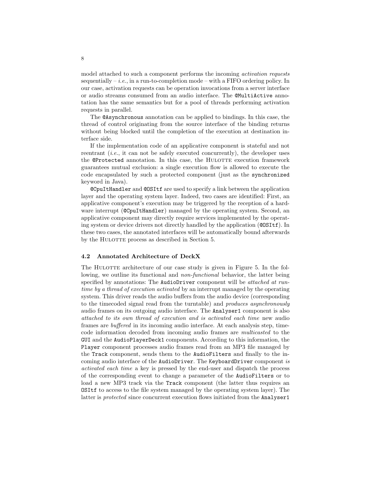model attached to such a component performs the incoming *activation requests* sequentially – *i.e.*, in a run-to-completion mode – with a FIFO ordering policy. In our case, activation requests can be operation invocations from a server interface or audio streams consumed from an audio interface. The @MultiActive annotation has the same semantics but for a pool of threads performing activation requests in parallel.

The @Asynchronous annotation can be applied to bindings. In this case, the thread of control originating from the source interface of the binding returns without being blocked until the completion of the execution at destination interface side.

If the implementation code of an applicative component is stateful and not reentrant  $(i.e., it can not be safely executed concurrently), the developer uses$ the @Protected annotation. In this case, the HULOTTE execution framework guarantees mutual exclusion: a single execution flow is allowed to execute the code encapsulated by such a protected component (just as the synchronized keyword in Java).

@CpuItHandler and @OSItf are used to specify a link between the application layer and the operating system layer. Indeed, two cases are identified: First, an applicative component's execution may be triggered by the reception of a hardware interrupt (@CpuItHandler) managed by the operating system. Second, an applicative component may directly require services implemented by the operating system or device drivers not directly handled by the application (@OSItf). In these two cases, the annotated interfaces will be automatically bound afterwards by the HULOTTE process as described in Section 5.

#### 4.2 Annotated Architecture of DeckX

The HULOTTE architecture of our case study is given in Figure 5. In the following, we outline its functional and *non-functional* behavior, the latter being specified by annotations: The AudioDriver component will be *attached at run*time by a thread of execution activated by an interrupt managed by the operating system. This driver reads the audio buffers from the audio device (corresponding to the timecoded signal read from the turntable) and produces asynchronously audio frames on its outgoing audio interface. The Analyser1 component is also attached to its own thread of execution and is activated each time new audio frames are buffered in its incoming audio interface. At each analysis step, timecode information decoded from incoming audio frames are multicasted to the GUI and the AudioPlayerDeck1 components. According to this information, the Player component processes audio frames read from an MP3 file managed by the Track component, sends them to the AudioFilters and finally to the incoming audio interface of the AudioDriver. The KeyboardDriver component is activated each time a key is pressed by the end-user and dispatch the process of the corresponding event to change a parameter of the AudioFilters or to load a new MP3 track via the Track component (the latter thus requires an OSItf to access to the file system managed by the operating system layer). The latter is *protected* since concurrent execution flows initiated from the **Analyser1**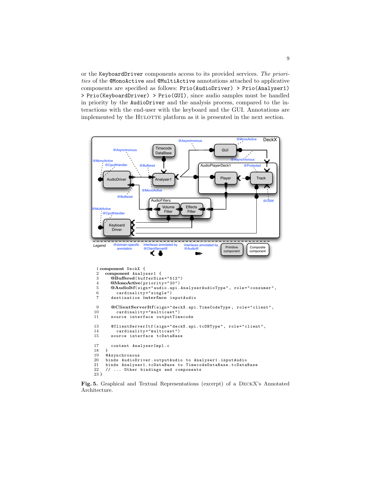or the KeyboardDriver components access to its provided services. The priorities of the @MonoActive and @MultiActive annotations attached to applicative components are specified as follows: Prio(AudioDriver) > Prio(Analyser1) > Prio(KeyboardDriver) > Prio(GUI), since audio samples must be handled in priority by the AudioDriver and the analysis process, compared to the interactions with the end-user with the keyboard and the GUI. Annotations are implemented by the HULOTTE platform as it is presented in the next section.



Fig. 5. Graphical and Textual Representations (excerpt) of a DeckX's Annotated Architecture.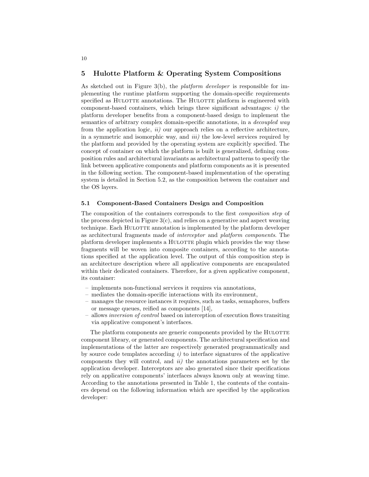## 5 Hulotte Platform & Operating System Compositions

As sketched out in Figure 3(b), the platform developer is responsible for implementing the runtime platform supporting the domain-specific requirements specified as HULOTTE annotations. The HULOTTE platform is engineered with component-based containers, which brings three significant advantages:  $i)$  the platform developer benefits from a component-based design to implement the semantics of arbitrary complex domain-specific annotations, in a *decoupled way* from the application logic,  $ii$ ) our approach relies on a reflective architecture, in a symmetric and isomorphic way, and  $iii$ ) the low-level services required by the platform and provided by the operating system are explicitly specified. The concept of container on which the platform is built is generalized, defining composition rules and architectural invariants as architectural patterns to specify the link between applicative components and platform components as it is presented in the following section. The component-based implementation of the operating system is detailed in Section 5.2, as the composition between the container and the OS layers.

#### 5.1 Component-Based Containers Design and Composition

The composition of the containers corresponds to the first composition step of the process depicted in Figure  $3(c)$ , and relies on a generative and aspect weaving technique. Each HULOTTE annotation is implemented by the platform developer as architectural fragments made of interceptor and platform components. The platform developer implements a HULOTTE plugin which provides the way these fragments will be woven into composite containers, according to the annotations specified at the application level. The output of this composition step is an architecture description where all applicative components are encapsulated within their dedicated containers. Therefore, for a given applicative component, its container:

- implements non-functional services it requires via annotations,
- mediates the domain-specific interactions with its environment,
- manages the resource instances it requires, such as tasks, semaphores, buffers or message queues, reified as components [14],
- allows inversion of control based on interception of execution flows transiting via applicative component's interfaces.

The platform components are generic components provided by the HULOTTE component library, or generated components. The architectural specification and implementations of the latter are respectively generated programmatically and by source code templates according  $i$ ) to interface signatures of the applicative components they will control, and ii) the annotations parameters set by the application developer. Interceptors are also generated since their specifications rely on applicative components' interfaces always known only at weaving time. According to the annotations presented in Table 1, the contents of the containers depend on the following information which are specified by the application developer: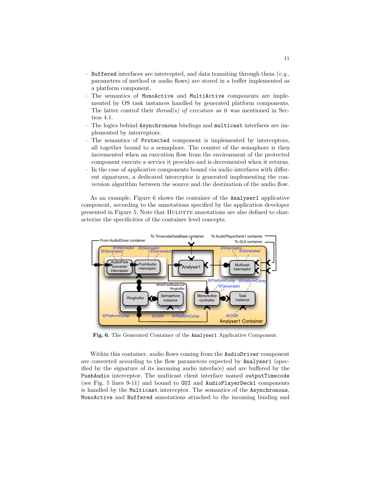- Bufferred interfaces are intercepted, and data transiting through them  $(e.g.,)$ parameters of method or audio flows) are stored in a buffer implemented as a platform component.
- The semantics of MonoActive and MultiActive components are implemented by OS task instances handled by generated platform components. The latter control their thread(s) of execution as it was mentioned in Section 4.1.
- The logics behind Asynchronous bindings and multicast interfaces are implemented by interceptors.
- The semantics of Protected component is implemented by interceptors, all together bound to a semaphore. The counter of the semaphore is then incremented when an execution flow from the environment of the protected component execute a service it provides and is decremented when it returns.
- In the case of applicative components bound via audio interfaces with different signatures, a dedicated interceptor is generated implementing the conversion algorithm between the source and the destination of the audio flow.

As an example, Figure 6 shows the container of the Analyser1 applicative component, according to the annotations specified by the application developer presented in Figure 5. Note that HULOTTE annotations are also defined to characterize the specificities of the container level concepts.



Fig. 6. The Generated Container of the Analyser1 Applicative Component.

Within this container, audio flows coming from the AudioDriver component are converted according to the flow parameters expected by Analyser1 (specified by the signature of its incoming audio interface) and are buffered by the PushAudio interceptor. The multicast client interface named outputTimecode (see Fig. 5 lines 9-11) and bound to GUI and AudioPlayerDeck1 components is handled by the Multicast interceptor. The semantics of the Asynchronous, MonoActive and Buffered annotations attached to the incoming binding and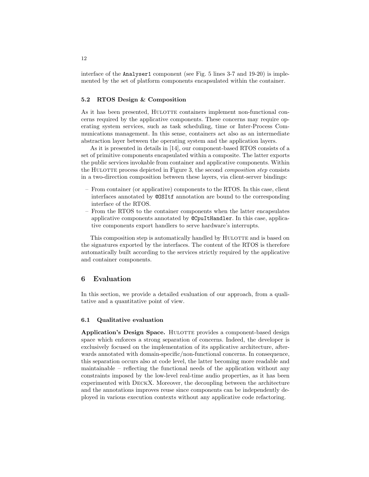interface of the Analyser1 component (see Fig. 5 lines 3-7 and 19-20) is implemented by the set of platform components encapsulated within the container.

#### 5.2 RTOS Design & Composition

As it has been presented, HULOTTE containers implement non-functional concerns required by the applicative components. These concerns may require operating system services, such as task scheduling, time or Inter-Process Communications management. In this sense, containers act also as an intermediate abstraction layer between the operating system and the application layers.

As it is presented in details in [14], our component-based RTOS consists of a set of primitive components encapsulated within a composite. The latter exports the public services invokable from container and applicative components. Within the HULOTTE process depicted in Figure 3, the second *composition step* consists in a two-direction composition between these layers, via client-server bindings:

- From container (or applicative) components to the RTOS. In this case, client interfaces annotated by @OSItf annotation are bound to the corresponding interface of the RTOS.
- From the RTOS to the container components when the latter encapsulates applicative components annotated by @CpuItHandler. In this case, applicative components export handlers to serve hardware's interrupts.

This composition step is automatically handled by HULOTTE and is based on the signatures exported by the interfaces. The content of the RTOS is therefore automatically built according to the services strictly required by the applicative and container components.

## 6 Evaluation

In this section, we provide a detailed evaluation of our approach, from a qualitative and a quantitative point of view.

#### 6.1 Qualitative evaluation

Application's Design Space. HULOTTE provides a component-based design space which enforces a strong separation of concerns. Indeed, the developer is exclusively focused on the implementation of its applicative architecture, afterwards annotated with domain-specific/non-functional concerns. In consequence, this separation occurs also at code level, the latter becoming more readable and maintainable – reflecting the functional needs of the application without any constraints imposed by the low-level real-time audio properties, as it has been experimented with DeckX. Moreover, the decoupling between the architecture and the annotations improves reuse since components can be independently deployed in various execution contexts without any applicative code refactoring.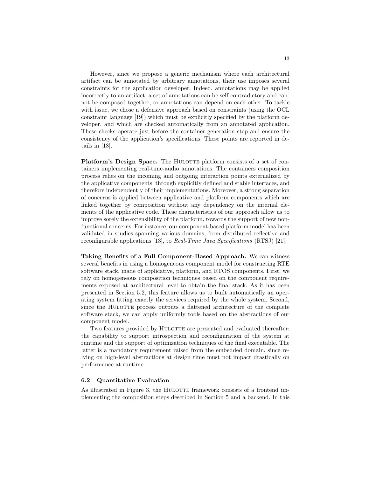However, since we propose a generic mechanism where each architectural artifact can be annotated by arbitrary annotations, their use imposes several constraints for the application developer. Indeed, annotations may be applied incorrectly to an artifact, a set of annotations can be self-contradictory and cannot be composed together, or annotations can depend on each other. To tackle with issue, we chose a defensive approach based on constraints (using the OCL constraint language [19]) which must be explicitly specified by the platform developer, and which are checked automatically from an annotated application. These checks operate just before the container generation step and ensure the consistency of the application's specifications. These points are reported in details in [18].

Platform's Design Space. The HULOTTE platform consists of a set of containers implementing real-time-audio annotations. The containers composition process relies on the incoming and outgoing interaction points externalized by the applicative components, through explicitly defined and stable interfaces, and therefore independently of their implementations. Moreover, a strong separation of concerns is applied between applicative and platform components which are linked together by composition without any dependency on the internal elements of the applicative code. These characteristics of our approach allow us to improve sorely the extensibility of the platform, towards the support of new nonfunctional concerns. For instance, our component-based platform model has been validated in studies spanning various domains, from distributed reflective and reconfigurable applications [13], to Real-Time Java Specifications (RTSJ) [21].

Taking Benefits of a Full Component-Based Approach. We can witness several benefits in using a homogeneous component model for constructing RTE software stack, made of applicative, platform, and RTOS components. First, we rely on homogeneous composition techniques based on the component requirements exposed at architectural level to obtain the final stack. As it has been presented in Section 5.2, this feature allows us to built automatically an operating system fitting exactly the services required by the whole system. Second, since the HULOTTE process outputs a flattened architecture of the complete software stack, we can apply uniformly tools based on the abstractions of our component model.

Two features provided by HULOTTE are presented and evaluated thereafter: the capability to support introspection and reconfiguration of the system at runtime and the support of optimization techniques of the final executable. The latter is a mandatory requirement raised from the embedded domain, since relying on high-level abstractions at design time must not impact drastically on performance at runtime.

#### 6.2 Quantitative Evaluation

As illustrated in Figure 3, the HULOTTE framework consists of a frontend implementing the composition steps described in Section 5 and a backend. In this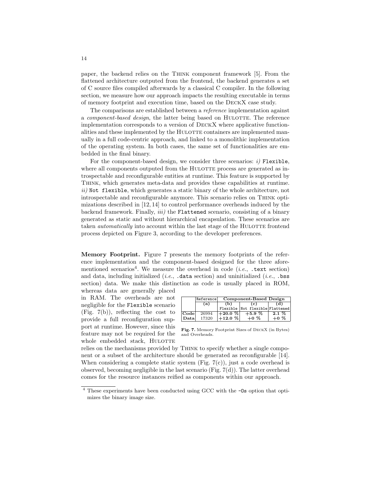paper, the backend relies on the Think component framework [5]. From the flattened architecture outputed from the frontend, the backend generates a set of C source files compiled afterwards by a classical C compiler. In the following section, we measure how our approach impacts the resulting executable in terms of memory footprint and execution time, based on the DeckX case study.

The comparisons are established between a reference implementation against a *component-based design*, the latter being based on HULOTTE. The reference implementation corresponds to a version of DeckX where applicative functionalities and these implemented by the HULOTTE containers are implemented manually in a full code-centric approach, and linked to a monolithic implementation of the operating system. In both cases, the same set of functionalities are embedded in the final binary.

For the component-based design, we consider three scenarios:  $i$ ) Flexible, where all components outputed from the HULOTTE process are generated as introspectable and reconfigurable entities at runtime. This feature is supported by Think, which generates meta-data and provides these capabilities at runtime. ii) Not flexible, which generates a static binary of the whole architecture, not introspectable and reconfigurable anymore. This scenario relies on Think optimizations described in [12, 14] to control performance overheads induced by the backend framework. Finally,  $iii)$  the Flattened scenario, consisting of a binary generated as static and without hierarchical encapsulation. These scenarios are taken *automatically* into account within the last stage of the HULOTTE frontend process depicted on Figure 3, according to the developer preferences.

Memory Footprint. Figure 7 presents the memory footprints of the reference implementation and the component-based designed for the three aforementioned scenarios<sup>4</sup>. We measure the overhead in code (*i.e.*, .text section) and data, including initialized (*i.e.*,  $\dots$  data section) and uninitialized (*i.e.*,  $\dots$  bss section) data. We make this distinction as code is usually placed in ROM, whereas data are generally placed

in RAM. The overheads are not negligible for the Flexible scenario (Fig. 7(b)), reflecting the cost to provide a full reconfiguration support at runtime. However, since this feature may not be required for the whole embedded stack, HULOTTE

|                               | Reference | Component-Based Design |                                 |         |  |
|-------------------------------|-----------|------------------------|---------------------------------|---------|--|
|                               | (a)       | (Ь)                    | (c)                             | (d)     |  |
|                               |           |                        | Flexible Not flexible Flattened |         |  |
| $\lfloor \text{Code} \rfloor$ | 26994     | $+20.0%$               | $+5.9%$                         | $2.1\%$ |  |
| Datal                         | 17320     | $+12.0 \%$             | $+0\%$                          | $+0\%$  |  |

Fig. 7. Memory Footprint Sizes of DeckX (in Bytes) and Overheads.

relies on the mechanisms provided by Think to specify whether a single component or a subset of the architecture should be generated as reconfigurable [14]. When considering a complete static system (Fig.  $7(c)$ ), just a code overhead is observed, becoming negligible in the last scenario (Fig.  $7(d)$ ). The latter overhead comes for the resource instances reified as components within our approach.

<sup>4</sup> These experiments have been conducted using GCC with the -Os option that optimizes the binary image size.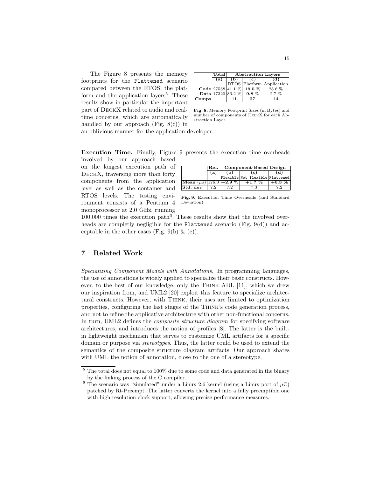The Figure 8 presents the memory footprints for the Flattened scenario compared between the RTOS, the platform and the application layers<sup>5</sup>. These results show in particular the important part of DeckX related to audio and realtime concerns, which are automatically handled by our approach (Fig.  $8(c)$ ) in

|       | Total | <b>Abstraction Layers</b>    |                                  |                             |
|-------|-------|------------------------------|----------------------------------|-----------------------------|
|       | (a)   | (b)                          | (C)                              | ۰d۱                         |
|       |       |                              |                                  | $RTOS$ Platform Application |
|       |       |                              | Code $27558$ 41.1 $\%$ 19.5 $\%$ | 28.6 %                      |
|       |       | $\textbf{Data}$ 17320 86.2 % | 9.8 $%$                          | $2.7 \%$                    |
| Comps |       |                              | 27                               |                             |

Fig. 8. Memory Footprint Sizes (in Bytes) and number of components of DeckX for each Abstraction Layer.

an oblivious manner for the application developer.

Execution Time. Finally, Figure 9 presents the execution time overheads involved by our approach based

on the longest execution path of DeckX, traversing more than forty components from the application level as well as the container and RTOS levels. The testing environment consists of a Pentium 4 monoprocessor at 2.0 GHz, running

|                              | Ref. | Component-Based Design |                                 |          |  |
|------------------------------|------|------------------------|---------------------------------|----------|--|
|                              | (a)  | (b)                    | (c)                             | (d)      |  |
|                              |      |                        | Flexible Not flexible Flattened |          |  |
| Mean $(\mu s)$ 176.0 + 2.9 % |      |                        | $+1.7~\%$                       | $+0.3\%$ |  |
| Std. dev.                    | 7.2  | 72                     | 73                              | 79       |  |

Fig. 9. Execution Time Overheads (and Standard Deviation).

 $100,000$  times the execution path<sup>6</sup>. These results show that the involved overheads are completly negligible for the **Flattened** scenario (Fig.  $9(d)$ ) and acceptable in the other cases (Fig. 9(b)  $\&$  (c)).

## 7 Related Work

Specializing Component Models with Annotations. In programming languages, the use of annotations is widely applied to specialize their basic constructs. However, to the best of our knowledge, only the Think ADL [11], which we drew our inspiration from, and UML2 [20] exploit this feature to specialize architectural constructs. However, with Think, their uses are limited to optimization properties, configuring the last stages of the Think's code generation process, and not to refine the applicative architecture with other non-functional concerns. In turn, UML2 defines the *composite structure diagram* for specifying software architectures, and introduces the notion of profiles [8]. The latter is the builtin lightweight mechanism that serves to customize UML artifacts for a specific domain or purpose via stereotypes. Thus, the latter could be used to extend the semantics of the composite structure diagram artifacts. Our approach shares with UML the notion of annotation, close to the one of a stereotype.

 $5$  The total does not equal to 100% due to some code and data generated in the binary by the linking process of the C compiler.

 $6$  The scenario was "simulated" under a Linux 2.6 kernel (using a Linux port of  $\mu$ C) patched by Rt-Preempt. The latter converts the kernel into a fully preemptible one with high resolution clock support, allowing precise performance measures.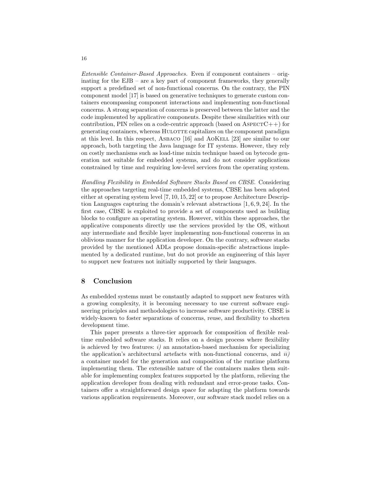Extensible Container-Based Approaches. Even if component containers – originating for the  $EJB -$  are a key part of component frameworks, they generally support a predefined set of non-functional concerns. On the contrary, the PIN component model [17] is based on generative techniques to generate custom containers encompassing component interactions and implementing non-functional concerns. A strong separation of concerns is preserved between the latter and the code implemented by applicative components. Despite these similarities with our contribution, PIN relies on a code-centric approach (based on  $\text{ASPECTC++}$ ) for generating containers, whereas HULOTTE capitalizes on the component paradigm at this level. In this respect, Asbaco [16] and AoKell [23] are similar to our approach, both targeting the Java language for IT systems. However, they rely on costly mechanisms such as load-time mixin technique based on bytecode generation not suitable for embedded systems, and do not consider applications constrained by time and requiring low-level services from the operating system.

Handling Flexibility in Embedded Software Stacks Based on CBSE. Considering the approaches targeting real-time embedded systems, CBSE has been adopted either at operating system level [7, 10, 15, 22] or to propose Architecture Description Languages capturing the domain's relevant abstractions [1, 6, 9, 24]. In the first case, CBSE is exploited to provide a set of components used as building blocks to configure an operating system. However, within these approaches, the applicative components directly use the services provided by the OS, without any intermediate and flexible layer implementing non-functional concerns in an oblivious manner for the application developer. On the contrary, software stacks provided by the mentioned ADLs propose domain-specific abstractions implemented by a dedicated runtime, but do not provide an engineering of this layer to support new features not initially supported by their languages.

### 8 Conclusion

As embedded systems must be constantly adapted to support new features with a growing complexity, it is becoming necessary to use current software engineering principles and methodologies to increase software productivity. CBSE is widely-known to foster separations of concerns, reuse, and flexibility to shorten development time.

This paper presents a three-tier approach for composition of flexible realtime embedded software stacks. It relies on a design process where flexibility is achieved by two features:  $i)$  an annotation-based mechanism for specializing the application's architectural artefacts with non-functional concerns, and  $ii$ ) a container model for the generation and composition of the runtime platform implementing them. The extensible nature of the containers makes them suitable for implementing complex features supported by the platform, relieving the application developer from dealing with redundant and error-prone tasks. Containers offer a straightforward design space for adapting the platform towards various application requirements. Moreover, our software stack model relies on a

16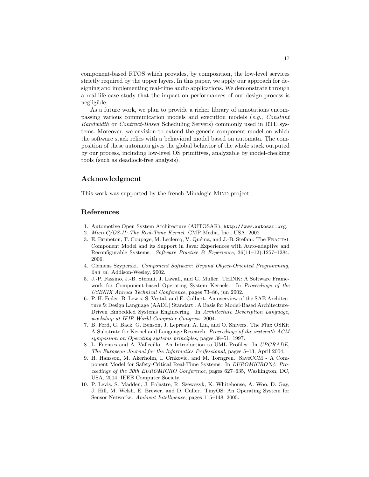component-based RTOS which provides, by composition, the low-level services strictly required by the upper layers. In this paper, we apply our approach for designing and implementing real-time audio applications. We demonstrate through a real-life case study that the impact on performances of our design process is negligible.

As a future work, we plan to provide a richer library of annotations encompassing various communication models and execution models (e.g., Constant Bandwidth or Contract-Based Scheduling Servers) commonly used in RTE systems. Moreover, we envision to extend the generic component model on which the software stack relies with a behavioral model based on automata. The composition of these automata gives the global behavior of the whole stack outputed by our process, including low-level OS primitives, analyzable by model-checking tools (such as deadlock-free analysis).

## Acknowledgment

This work was supported by the french Minalogic Mind project.

## References

- 1. Automotive Open System Architecture (AUTOSAR), http://www.autosar.org.
- 2. *MicroC/OS-II: The Real-Time Kernel*. CMP Media, Inc., USA, 2002.
- 3. E. Bruneton, T. Coupaye, M. Leclercq, V. Quéma, and J.-B. Stefani. The FRACTAL Component Model and its Support in Java: Experiences with Auto-adaptive and Reconfigurable Systems. *Software Practice & Experience*, 36(11–12):1257–1284, 2006.
- 4. Clemens Szyperski. *Component Software: Beyond Object-Oriented Programming, 2nd ed.* Addison-Wesley, 2002.
- 5. J.-P. Fassino, J.-B. Stefani, J. Lawall, and G. Muller. THINK: A Software Framework for Component-based Operating System Kernels. In *Proceedings of the USENIX Annual Technical Conference*, pages 73–86, jun 2002.
- 6. P. H. Feiler, B. Lewis, S. Vestal, and E. Colbert. An overview of the SAE Architecture & Design Language (AADL) Standart : A Basis for Model-Based Architecture-Driven Embedded Systems Engineering. In *Architecture Description Language, workshop at IFIP World Computer Congress*, 2004.
- 7. B. Ford, G. Back, G. Benson, J. Lepreau, A. Lin, and O. Shivers. The Flux OSKit A Substrate for Kernel and Language Research. *Proceedings of the sixteenth ACM symposium on Operating systems principles*, pages 38–51, 1997.
- 8. L. Fuentes and A. Vallecillo. An Introduction to UML Profiles. In *UPGRADE, The European Journal for the Informatics Professional*, pages 5–13, April 2004.
- 9. H. Hansson, M. Akerholm, I. Crnkovic, and M. Torngren. SaveCCM A Component Model for Safety-Critical Real-Time Systems. In *EUROMICRO'04: Proceedings of the 30th EUROMICRO Conference*, pages 627–635, Washington, DC, USA, 2004. IEEE Computer Society.
- 10. P. Levis, S. Madden, J. Polastre, R. Szewczyk, K. Whitehouse, A. Woo, D. Gay, J. Hill, M. Welsh, E. Brewer, and D. Culler. TinyOS: An Operating System for Sensor Networks. *Ambient Intelligence*, pages 115–148, 2005.